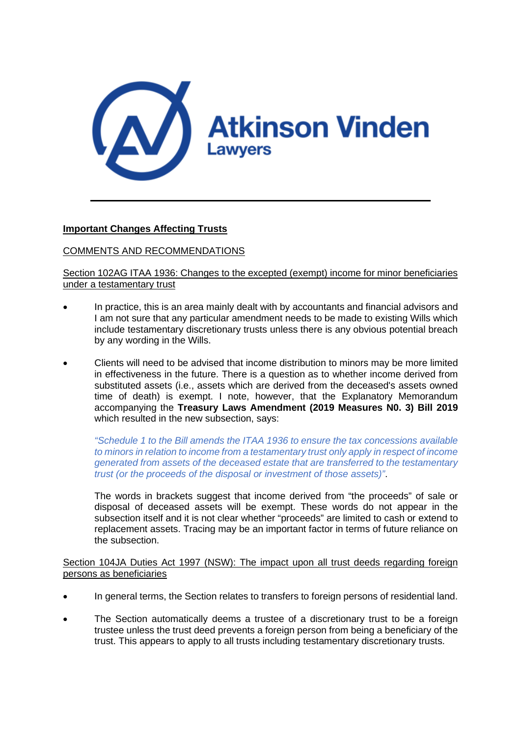

# **Important Changes Affecting Trusts**

# COMMENTS AND RECOMMENDATIONS

Section 102AG ITAA 1936: Changes to the excepted (exempt) income for minor beneficiaries under a testamentary trust

- In practice, this is an area mainly dealt with by accountants and financial advisors and I am not sure that any particular amendment needs to be made to existing Wills which include testamentary discretionary trusts unless there is any obvious potential breach by any wording in the Wills.
- Clients will need to be advised that income distribution to minors may be more limited in effectiveness in the future. There is a question as to whether income derived from substituted assets (i.e., assets which are derived from the deceased's assets owned time of death) is exempt. I note, however, that the Explanatory Memorandum accompanying the **Treasury Laws Amendment (2019 Measures N0. 3) Bill 2019** which resulted in the new subsection, says:

*"Schedule 1 to the Bill amends the ITAA 1936 to ensure the tax concessions available to minors in relation to income from a testamentary trust only apply in respect of income generated from assets of the deceased estate that are transferred to the testamentary trust (or the proceeds of the disposal or investment of those assets)"*.

The words in brackets suggest that income derived from "the proceeds" of sale or disposal of deceased assets will be exempt. These words do not appear in the subsection itself and it is not clear whether "proceeds" are limited to cash or extend to replacement assets. Tracing may be an important factor in terms of future reliance on the subsection.

Section 104JA Duties Act 1997 (NSW): The impact upon all trust deeds regarding foreign persons as beneficiaries

- In general terms, the Section relates to transfers to foreign persons of residential land.
- The Section automatically deems a trustee of a discretionary trust to be a foreign trustee unless the trust deed prevents a foreign person from being a beneficiary of the trust. This appears to apply to all trusts including testamentary discretionary trusts.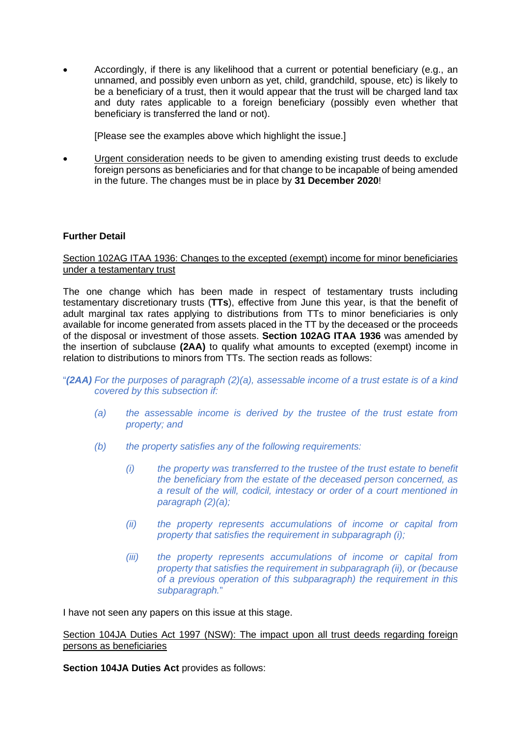• Accordingly, if there is any likelihood that a current or potential beneficiary (e.g., an unnamed, and possibly even unborn as yet, child, grandchild, spouse, etc) is likely to be a beneficiary of a trust, then it would appear that the trust will be charged land tax and duty rates applicable to a foreign beneficiary (possibly even whether that beneficiary is transferred the land or not).

[Please see the examples above which highlight the issue.]

• Urgent consideration needs to be given to amending existing trust deeds to exclude foreign persons as beneficiaries and for that change to be incapable of being amended in the future. The changes must be in place by **31 December 2020**!

# **Further Detail**

## Section 102AG ITAA 1936: Changes to the excepted (exempt) income for minor beneficiaries under a testamentary trust

The one change which has been made in respect of testamentary trusts including testamentary discretionary trusts (**TTs**), effective from June this year, is that the benefit of adult marginal tax rates applying to distributions from TTs to minor beneficiaries is only available for income generated from assets placed in the TT by the deceased or the proceeds of the disposal or investment of those assets. **Section 102AG ITAA 1936** was amended by the insertion of subclause **(2AA)** to qualify what amounts to excepted (exempt) income in relation to distributions to minors from TTs. The section reads as follows:

### "*(2AA) For the purposes of paragraph (2)(a), assessable income of a trust estate is of a kind covered by this subsection if:*

- *(a) the assessable income is derived by the trustee of the trust estate from property; and*
- *(b) the property satisfies any of the following requirements:*
	- *(i) the property was transferred to the trustee of the trust estate to benefit the beneficiary from the estate of the deceased person concerned, as a result of the will, codicil, intestacy or order of a court mentioned in paragraph (2)(a);*
	- *(ii) the property represents accumulations of income or capital from property that satisfies the requirement in subparagraph (i);*
	- *(iii) the property represents accumulations of income or capital from property that satisfies the requirement in subparagraph (ii), or (because of a previous operation of this subparagraph) the requirement in this subparagraph.*"

I have not seen any papers on this issue at this stage.

Section 104JA Duties Act 1997 (NSW): The impact upon all trust deeds regarding foreign persons as beneficiaries

**Section 104JA Duties Act** provides as follows: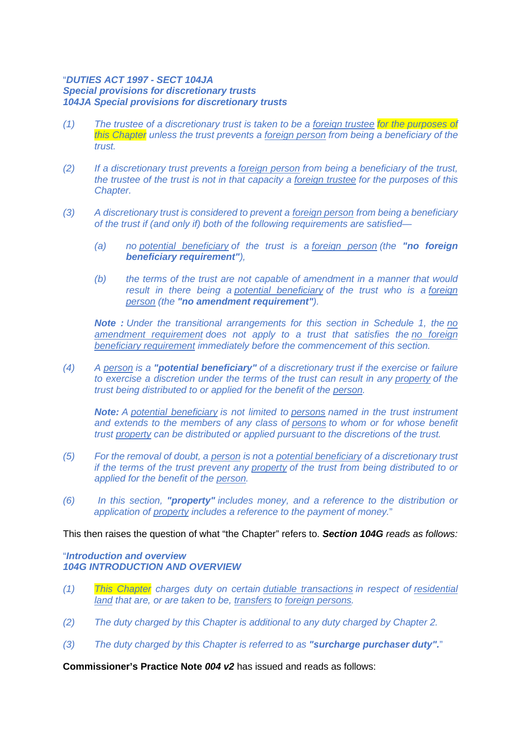### "*DUTIES ACT 1997 - SECT 104JA Special provisions for discretionary trusts 104JA Special provisions for discretionary trusts*

- *(1) The trustee of a discretionary trust is taken to be a [foreign trustee](http://www5.austlii.edu.au/au/legis/nsw/consol_act/da199793/s104j.html#foreign_trustee) for the purposes of this Chapter unless the trust prevents a [foreign person](http://www5.austlii.edu.au/au/legis/nsw/consol_act/da199793/s104j.html#foreign_person) from being a beneficiary of the trust.*
- *(2) If a discretionary trust prevents a [foreign person](http://www5.austlii.edu.au/au/legis/nsw/consol_act/da199793/s104j.html#foreign_person) from being a beneficiary of the trust, the trustee of the trust is not in that capacity a [foreign trustee](http://www5.austlii.edu.au/au/legis/nsw/consol_act/da199793/s104j.html#foreign_trustee) for the purposes of this Chapter.*
- *(3) A discretionary trust is considered to prevent a [foreign person](http://www5.austlii.edu.au/au/legis/nsw/consol_act/da199793/s104j.html#foreign_person) from being a beneficiary of the trust if (and only if) both of the following requirements are satisfied—*
	- *(a) no [potential beneficiary](http://www5.austlii.edu.au/au/legis/nsw/consol_act/da199793/s104ja.html#potential_beneficiary) of the trust is a [foreign person](http://www5.austlii.edu.au/au/legis/nsw/consol_act/da199793/s104j.html#foreign_person) (the "no foreign beneficiary requirement"),*
	- *(b) the terms of the trust are not capable of amendment in a manner that would result in there being a [potential beneficiary](http://www5.austlii.edu.au/au/legis/nsw/consol_act/da199793/s104ja.html#potential_beneficiary) of the trust who is a [foreign](http://www5.austlii.edu.au/au/legis/nsw/consol_act/da199793/s104j.html#foreign_person)  [person](http://www5.austlii.edu.au/au/legis/nsw/consol_act/da199793/s104j.html#foreign_person) (the "no amendment requirement").*

*Note : Under the transitional arrangements for this section in Schedule 1, the [no](http://www5.austlii.edu.au/au/legis/nsw/consol_act/da199793/s104ja.html#no_amendment_requirement)  [amendment requirement](http://www5.austlii.edu.au/au/legis/nsw/consol_act/da199793/s104ja.html#no_amendment_requirement) does not apply to a trust that satisfies the [no foreign](http://www5.austlii.edu.au/au/legis/nsw/consol_act/da199793/s104ja.html#no_foreign_beneficiary_requirement)  [beneficiary requirement](http://www5.austlii.edu.au/au/legis/nsw/consol_act/da199793/s104ja.html#no_foreign_beneficiary_requirement) immediately before the commencement of this section.*

*(4) A [person](http://www5.austlii.edu.au/au/legis/nsw/consol_act/da199793/s125.html#person) is a "potential beneficiary" of a discretionary trust if the exercise or failure to exercise a discretion under the terms of the trust can result in any [property](http://www5.austlii.edu.au/au/legis/nsw/consol_act/da199793/s104ja.html#property) of the trust being distributed to or applied for the benefit of the [person.](http://www5.austlii.edu.au/au/legis/nsw/consol_act/da199793/s125.html#person)*

*Note: A [potential beneficiary](http://www5.austlii.edu.au/au/legis/nsw/consol_act/da199793/s104ja.html#potential_beneficiary) is not limited to [persons](http://www5.austlii.edu.au/au/legis/nsw/consol_act/da199793/s125.html#person) named in the trust instrument and extends to the members of any class of [persons](http://www5.austlii.edu.au/au/legis/nsw/consol_act/da199793/s125.html#person) to whom or for whose benefit trust [property](http://www5.austlii.edu.au/au/legis/nsw/consol_act/da199793/s104ja.html#property) can be distributed or applied pursuant to the discretions of the trust.*

- *(5) For the removal of doubt, a [person](http://www5.austlii.edu.au/au/legis/nsw/consol_act/da199793/s125.html#person) is not a [potential beneficiary](http://www5.austlii.edu.au/au/legis/nsw/consol_act/da199793/s104ja.html#potential_beneficiary) of a discretionary trust if the terms of the trust prevent any [property](http://www5.austlii.edu.au/au/legis/nsw/consol_act/da199793/s104ja.html#property) of the trust from being distributed to or applied for the benefit of the [person.](http://www5.austlii.edu.au/au/legis/nsw/consol_act/da199793/s125.html#person)*
- *(6) In this section, "property" includes money, and a reference to the distribution or application of [property](http://www5.austlii.edu.au/au/legis/nsw/consol_act/da199793/s104ja.html#property) includes a reference to the payment of money.*"

This then raises the question of what "the Chapter" refers to. *Section 104G reads as follows:*

# "*Introduction and overview 104G INTRODUCTION AND OVERVIEW*

- *(1) This Chapter charges duty on certain [dutiable transactions](http://www.austlii.edu.au/cgi-bin/viewdoc/au/legis/nsw/consol_act/da199793/s145.html#dutiable_transactions) in respect of [residential](http://www.austlii.edu.au/cgi-bin/viewdoc/au/legis/nsw/consol_act/da199793/s32a.html#residential_land)  [land](http://www.austlii.edu.au/cgi-bin/viewdoc/au/legis/nsw/consol_act/da199793/s32a.html#residential_land) that are, or are taken to be, [transfers](http://www.austlii.edu.au/cgi-bin/viewdoc/au/legis/nsw/consol_act/da199793/s8.html#transfer) to [foreign persons.](http://www.austlii.edu.au/cgi-bin/viewdoc/au/legis/nsw/consol_act/da199793/s104j.html#foreign_person)*
- *(2) The duty charged by this Chapter is additional to any duty charged by Chapter 2.*
- *(3) The duty charged by this Chapter is referred to as "surcharge purchaser duty".*"

**Commissioner's Practice Note** *004 v2* has issued and reads as follows: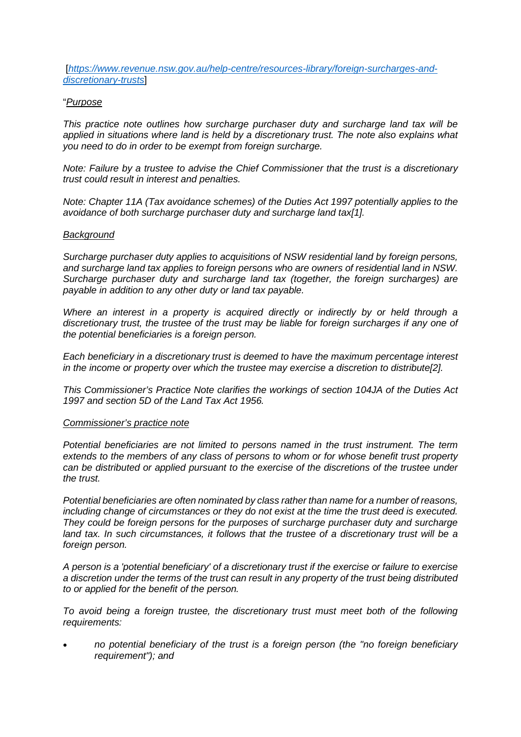[*[https://www.revenue.nsw.gov.au/help-centre/resources-library/foreign-surcharges-and](https://www.revenue.nsw.gov.au/help-centre/resources-library/foreign-surcharges-and-discretionary-trusts)[discretionary-trusts](https://www.revenue.nsw.gov.au/help-centre/resources-library/foreign-surcharges-and-discretionary-trusts)*]

### "*Purpose*

*This practice note outlines how surcharge purchaser duty and surcharge land tax will be applied in situations where land is held by a discretionary trust. The note also explains what you need to do in order to be exempt from foreign surcharge.*

*Note: Failure by a trustee to advise the Chief Commissioner that the trust is a discretionary trust could result in interest and penalties.*

*Note: Chapter 11A (Tax avoidance schemes) of the Duties Act 1997 potentially applies to the avoidance of both surcharge purchaser duty and surcharge land tax[1].*

#### *Background*

*Surcharge purchaser duty applies to acquisitions of NSW residential land by foreign persons, and surcharge land tax applies to foreign persons who are owners of residential land in NSW. Surcharge purchaser duty and surcharge land tax (together, the foreign surcharges) are payable in addition to any other duty or land tax payable.*

*Where an interest in a property is acquired directly or indirectly by or held through a discretionary trust, the trustee of the trust may be liable for foreign surcharges if any one of the potential beneficiaries is a foreign person.*

*Each beneficiary in a discretionary trust is deemed to have the maximum percentage interest in the income or property over which the trustee may exercise a discretion to distribute[2].*

*This Commissioner's Practice Note clarifies the workings of section 104JA of the Duties Act 1997 and section 5D of the Land Tax Act 1956.*

#### *Commissioner's practice note*

*Potential beneficiaries are not limited to persons named in the trust instrument. The term extends to the members of any class of persons to whom or for whose benefit trust property can be distributed or applied pursuant to the exercise of the discretions of the trustee under the trust.*

*Potential beneficiaries are often nominated by class rather than name for a number of reasons, including change of circumstances or they do not exist at the time the trust deed is executed. They could be foreign persons for the purposes of surcharge purchaser duty and surcharge*  land tax. In such circumstances, it follows that the trustee of a discretionary trust will be a *foreign person.*

*A person is a 'potential beneficiary' of a discretionary trust if the exercise or failure to exercise a discretion under the terms of the trust can result in any property of the trust being distributed to or applied for the benefit of the person.*

*To avoid being a foreign trustee, the discretionary trust must meet both of the following requirements:*

• *no potential beneficiary of the trust is a foreign person (the "no foreign beneficiary requirement"); and*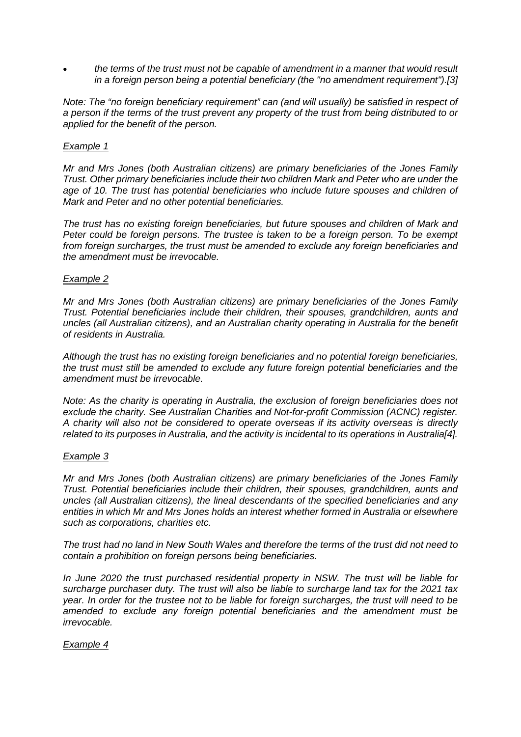• *the terms of the trust must not be capable of amendment in a manner that would result in a foreign person being a potential beneficiary (the "no amendment requirement").[3]*

*Note: The "no foreign beneficiary requirement" can (and will usually) be satisfied in respect of a person if the terms of the trust prevent any property of the trust from being distributed to or applied for the benefit of the person.*

## *Example 1*

*Mr and Mrs Jones (both Australian citizens) are primary beneficiaries of the Jones Family Trust. Other primary beneficiaries include their two children Mark and Peter who are under the*  age of 10. The trust has potential beneficiaries who include future spouses and children of *Mark and Peter and no other potential beneficiaries.*

*The trust has no existing foreign beneficiaries, but future spouses and children of Mark and Peter could be foreign persons. The trustee is taken to be a foreign person. To be exempt from foreign surcharges, the trust must be amended to exclude any foreign beneficiaries and the amendment must be irrevocable.*

## *Example 2*

*Mr and Mrs Jones (both Australian citizens) are primary beneficiaries of the Jones Family Trust. Potential beneficiaries include their children, their spouses, grandchildren, aunts and uncles (all Australian citizens), and an Australian charity operating in Australia for the benefit of residents in Australia.*

*Although the trust has no existing foreign beneficiaries and no potential foreign beneficiaries, the trust must still be amended to exclude any future foreign potential beneficiaries and the amendment must be irrevocable.*

*Note: As the charity is operating in Australia, the exclusion of foreign beneficiaries does not exclude the charity. See Australian Charities and Not-for-profit Commission (ACNC) register. A charity will also not be considered to operate overseas if its activity overseas is directly related to its purposes in Australia, and the activity is incidental to its operations in Australia[4].*

### *Example 3*

*Mr and Mrs Jones (both Australian citizens) are primary beneficiaries of the Jones Family Trust. Potential beneficiaries include their children, their spouses, grandchildren, aunts and uncles (all Australian citizens), the lineal descendants of the specified beneficiaries and any entities in which Mr and Mrs Jones holds an interest whether formed in Australia or elsewhere such as corporations, charities etc.*

*The trust had no land in New South Wales and therefore the terms of the trust did not need to contain a prohibition on foreign persons being beneficiaries.*

*In June 2020 the trust purchased residential property in NSW. The trust will be liable for surcharge purchaser duty. The trust will also be liable to surcharge land tax for the 2021 tax year. In order for the trustee not to be liable for foreign surcharges, the trust will need to be amended to exclude any foreign potential beneficiaries and the amendment must be irrevocable.*

# *Example 4*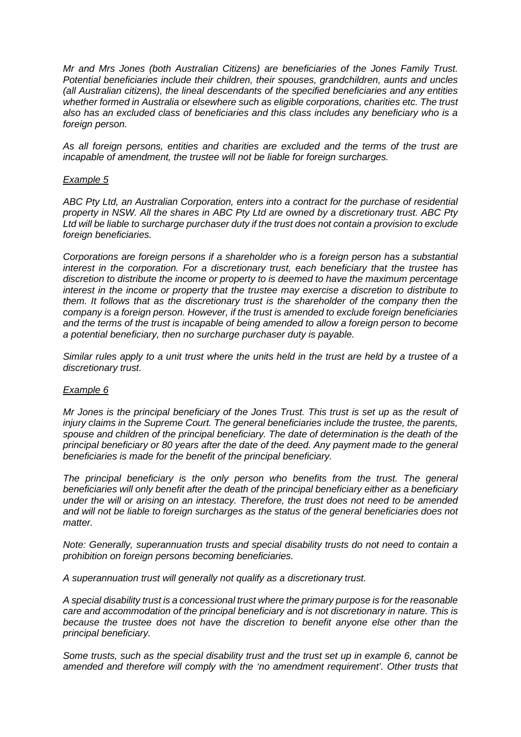*Mr and Mrs Jones (both Australian Citizens) are beneficiaries of the Jones Family Trust. Potential beneficiaries include their children, their spouses, grandchildren, aunts and uncles (all Australian citizens), the lineal descendants of the specified beneficiaries and any entities whether formed in Australia or elsewhere such as eligible corporations, charities etc. The trust also has an excluded class of beneficiaries and this class includes any beneficiary who is a foreign person.*

*As all foreign persons, entities and charities are excluded and the terms of the trust are incapable of amendment, the trustee will not be liable for foreign surcharges.*

## *Example 5*

*ABC Pty Ltd, an Australian Corporation, enters into a contract for the purchase of residential property in NSW. All the shares in ABC Pty Ltd are owned by a discretionary trust. ABC Pty Ltd will be liable to surcharge purchaser duty if the trust does not contain a provision to exclude foreign beneficiaries.*

*Corporations are foreign persons if a shareholder who is a foreign person has a substantial interest in the corporation. For a discretionary trust, each beneficiary that the trustee has discretion to distribute the income or property to is deemed to have the maximum percentage interest in the income or property that the trustee may exercise a discretion to distribute to them. It follows that as the discretionary trust is the shareholder of the company then the company is a foreign person. However, if the trust is amended to exclude foreign beneficiaries and the terms of the trust is incapable of being amended to allow a foreign person to become a potential beneficiary, then no surcharge purchaser duty is payable.*

*Similar rules apply to a unit trust where the units held in the trust are held by a trustee of a discretionary trust.*

# *Example 6*

*Mr Jones is the principal beneficiary of the Jones Trust. This trust is set up as the result of injury claims in the Supreme Court. The general beneficiaries include the trustee, the parents, spouse and children of the principal beneficiary. The date of determination is the death of the principal beneficiary or 80 years after the date of the deed. Any payment made to the general beneficiaries is made for the benefit of the principal beneficiary.*

*The principal beneficiary is the only person who benefits from the trust. The general beneficiaries will only benefit after the death of the principal beneficiary either as a beneficiary under the will or arising on an intestacy. Therefore, the trust does not need to be amended and will not be liable to foreign surcharges as the status of the general beneficiaries does not matter.*

*Note: Generally, superannuation trusts and special disability trusts do not need to contain a prohibition on foreign persons becoming beneficiaries.*

*A superannuation trust will generally not qualify as a discretionary trust.*

*A special disability trust is a concessional trust where the primary purpose is for the reasonable care and accommodation of the principal beneficiary and is not discretionary in nature. This is because the trustee does not have the discretion to benefit anyone else other than the principal beneficiary.*

*Some trusts, such as the special disability trust and the trust set up in example 6, cannot be amended and therefore will comply with the 'no amendment requirement'. Other trusts that*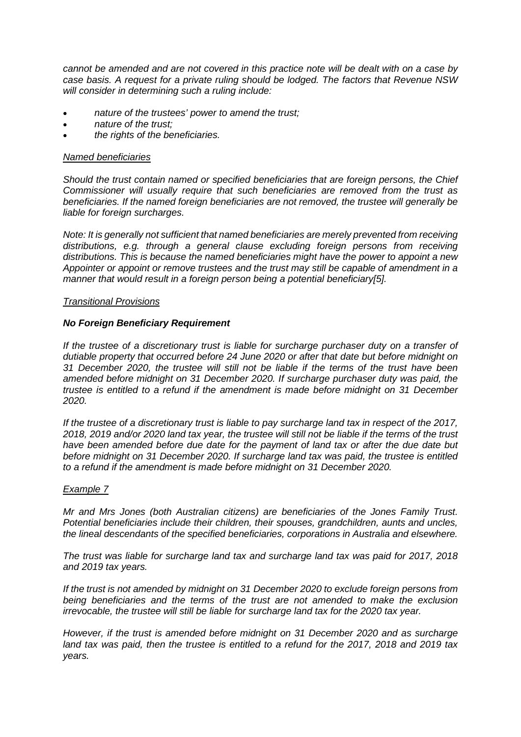*cannot be amended and are not covered in this practice note will be dealt with on a case by case basis. A request for a private ruling should be lodged. The factors that Revenue NSW will consider in determining such a ruling include:*

- *nature of the trustees' power to amend the trust;*
- *nature of the trust;*
- *the rights of the beneficiaries.*

### *Named beneficiaries*

*Should the trust contain named or specified beneficiaries that are foreign persons, the Chief Commissioner will usually require that such beneficiaries are removed from the trust as beneficiaries. If the named foreign beneficiaries are not removed, the trustee will generally be liable for foreign surcharges.*

*Note: It is generally not sufficient that named beneficiaries are merely prevented from receiving distributions, e.g. through a general clause excluding foreign persons from receiving distributions. This is because the named beneficiaries might have the power to appoint a new Appointer or appoint or remove trustees and the trust may still be capable of amendment in a manner that would result in a foreign person being a potential beneficiary[5].*

### *Transitional Provisions*

## *No Foreign Beneficiary Requirement*

*If the trustee of a discretionary trust is liable for surcharge purchaser duty on a transfer of dutiable property that occurred before 24 June 2020 or after that date but before midnight on 31 December 2020, the trustee will still not be liable if the terms of the trust have been amended before midnight on 31 December 2020. If surcharge purchaser duty was paid, the trustee is entitled to a refund if the amendment is made before midnight on 31 December 2020.*

*If the trustee of a discretionary trust is liable to pay surcharge land tax in respect of the 2017, 2018, 2019 and/or 2020 land tax year, the trustee will still not be liable if the terms of the trust have been amended before due date for the payment of land tax or after the due date but before midnight on 31 December 2020. If surcharge land tax was paid, the trustee is entitled to a refund if the amendment is made before midnight on 31 December 2020.*

### *Example 7*

*Mr and Mrs Jones (both Australian citizens) are beneficiaries of the Jones Family Trust. Potential beneficiaries include their children, their spouses, grandchildren, aunts and uncles, the lineal descendants of the specified beneficiaries, corporations in Australia and elsewhere.*

*The trust was liable for surcharge land tax and surcharge land tax was paid for 2017, 2018 and 2019 tax years.*

*If the trust is not amended by midnight on 31 December 2020 to exclude foreign persons from being beneficiaries and the terms of the trust are not amended to make the exclusion irrevocable, the trustee will still be liable for surcharge land tax for the 2020 tax year.*

*However, if the trust is amended before midnight on 31 December 2020 and as surcharge land tax was paid, then the trustee is entitled to a refund for the 2017, 2018 and 2019 tax years.*